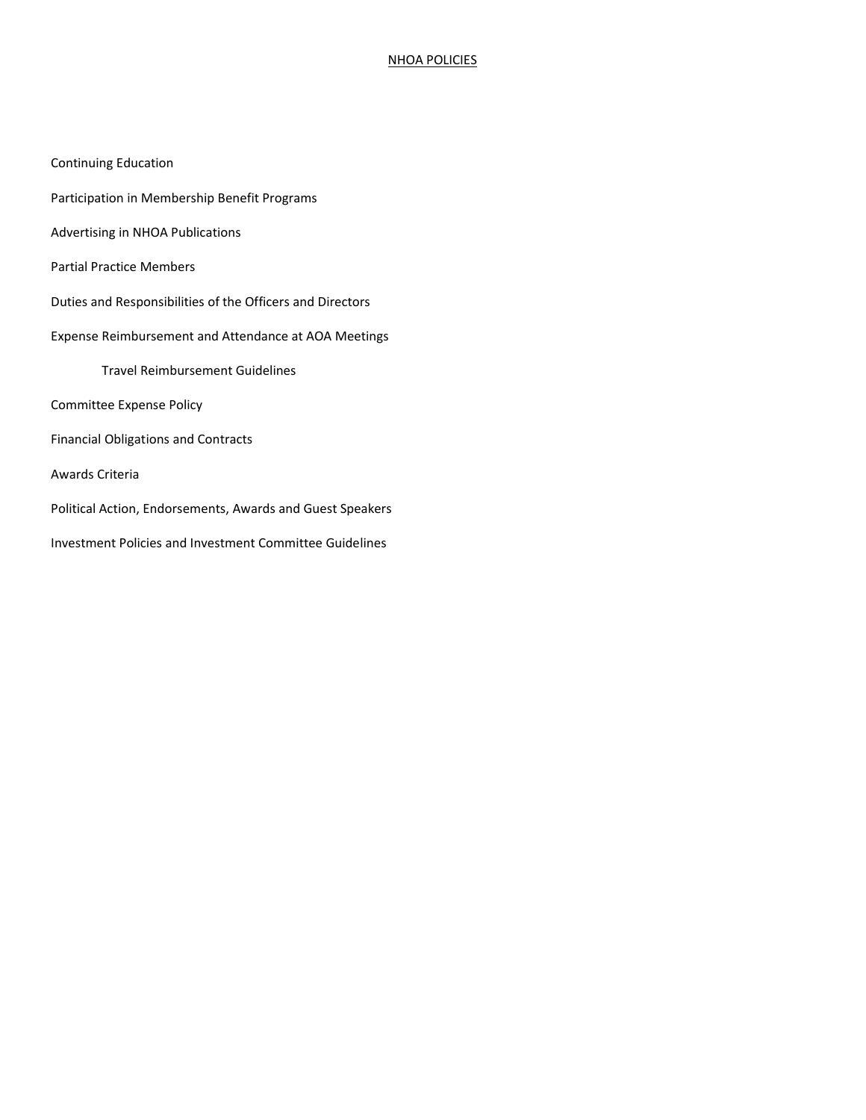### NHOA POLICIES

| <b>Continuing Education</b> |  |
|-----------------------------|--|
|-----------------------------|--|

- Participation in Membership Benefit Programs
- Advertising in NHOA Publications
- Partial Practice Members
- Duties and Responsibilities of the Officers and Directors
- Expense Reimbursement and Attendance at AOA Meetings
	- Travel Reimbursement Guidelines
- Committee Expense Policy
- Financial Obligations and Contracts
- Awards Criteria
- Political Action, Endorsements, Awards and Guest Speakers
- Investment Policies and Investment Committee Guidelines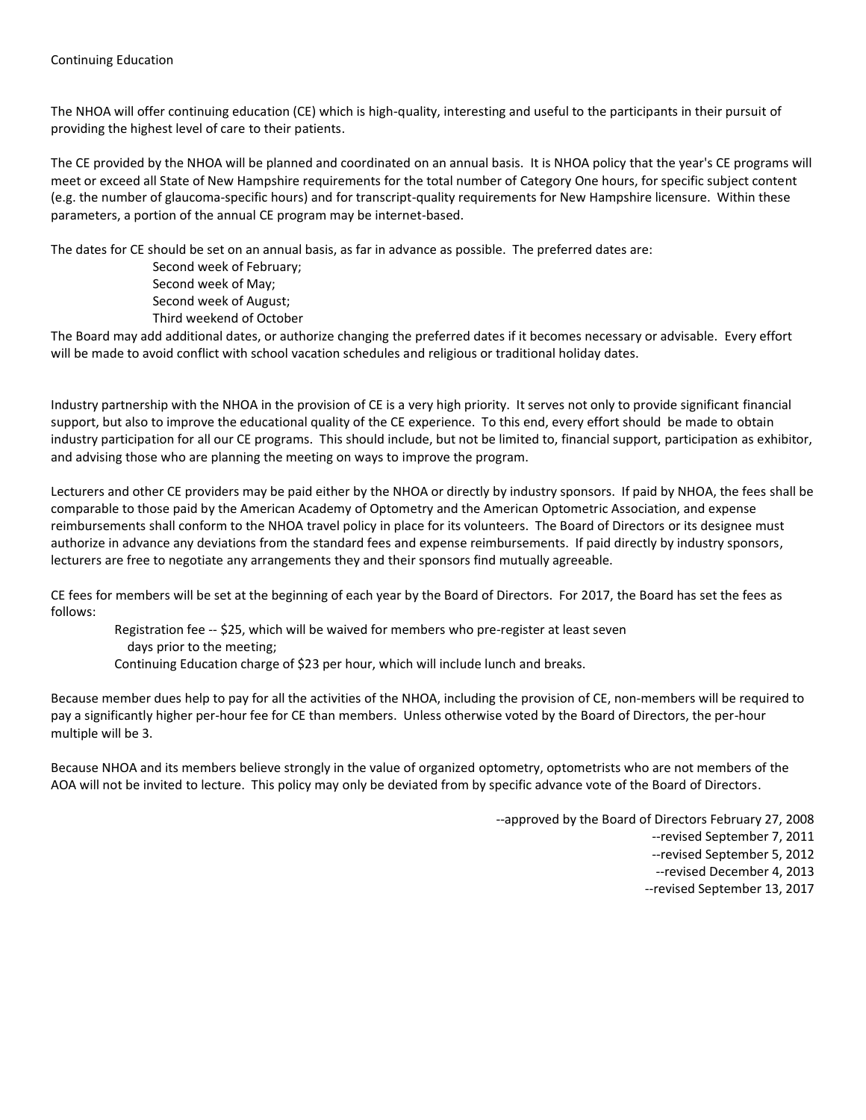The NHOA will offer continuing education (CE) which is high-quality, interesting and useful to the participants in their pursuit of providing the highest level of care to their patients.

The CE provided by the NHOA will be planned and coordinated on an annual basis. It is NHOA policy that the year's CE programs will meet or exceed all State of New Hampshire requirements for the total number of Category One hours, for specific subject content (e.g. the number of glaucoma-specific hours) and for transcript-quality requirements for New Hampshire licensure. Within these parameters, a portion of the annual CE program may be internet-based.

The dates for CE should be set on an annual basis, as far in advance as possible. The preferred dates are:

Second week of February; Second week of May; Second week of August; Third weekend of October

The Board may add additional dates, or authorize changing the preferred dates if it becomes necessary or advisable. Every effort will be made to avoid conflict with school vacation schedules and religious or traditional holiday dates.

Industry partnership with the NHOA in the provision of CE is a very high priority. It serves not only to provide significant financial support, but also to improve the educational quality of the CE experience. To this end, every effort should be made to obtain industry participation for all our CE programs. This should include, but not be limited to, financial support, participation as exhibitor, and advising those who are planning the meeting on ways to improve the program.

Lecturers and other CE providers may be paid either by the NHOA or directly by industry sponsors. If paid by NHOA, the fees shall be comparable to those paid by the American Academy of Optometry and the American Optometric Association, and expense reimbursements shall conform to the NHOA travel policy in place for its volunteers. The Board of Directors or its designee must authorize in advance any deviations from the standard fees and expense reimbursements. If paid directly by industry sponsors, lecturers are free to negotiate any arrangements they and their sponsors find mutually agreeable.

CE fees for members will be set at the beginning of each year by the Board of Directors. For 2017, the Board has set the fees as follows:

 Registration fee -- \$25, which will be waived for members who pre-register at least seven days prior to the meeting; Continuing Education charge of \$23 per hour, which will include lunch and breaks.

Because member dues help to pay for all the activities of the NHOA, including the provision of CE, non-members will be required to pay a significantly higher per-hour fee for CE than members. Unless otherwise voted by the Board of Directors, the per-hour multiple will be 3.

Because NHOA and its members believe strongly in the value of organized optometry, optometrists who are not members of the AOA will not be invited to lecture. This policy may only be deviated from by specific advance vote of the Board of Directors.

--approved by the Board of Directors February 27, 2008

- --revised September 7, 2011
- --revised September 5, 2012
- --revised December 4, 2013
- --revised September 13, 2017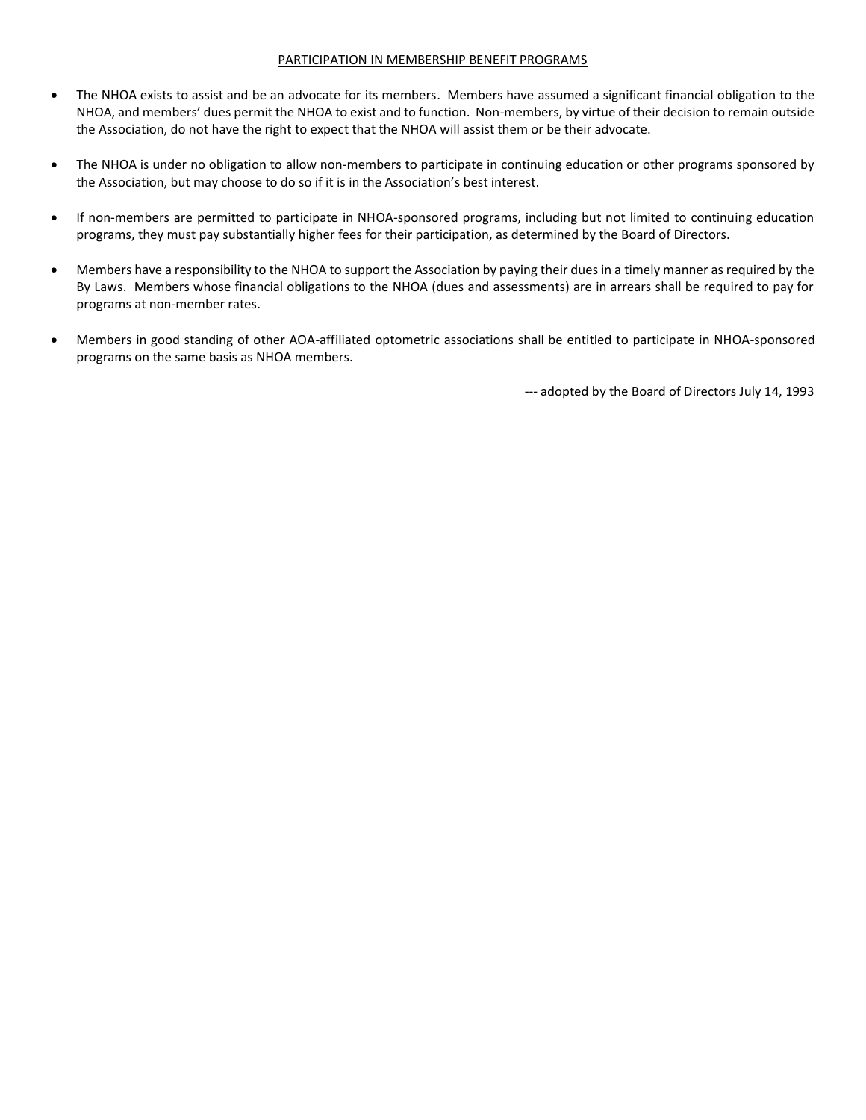#### PARTICIPATION IN MEMBERSHIP BENEFIT PROGRAMS

- The NHOA exists to assist and be an advocate for its members. Members have assumed a significant financial obligation to the NHOA, and members' dues permit the NHOA to exist and to function. Non-members, by virtue of their decision to remain outside the Association, do not have the right to expect that the NHOA will assist them or be their advocate.
- The NHOA is under no obligation to allow non-members to participate in continuing education or other programs sponsored by the Association, but may choose to do so if it is in the Association's best interest.
- If non-members are permitted to participate in NHOA-sponsored programs, including but not limited to continuing education programs, they must pay substantially higher fees for their participation, as determined by the Board of Directors.
- Members have a responsibility to the NHOA to support the Association by paying their dues in a timely manner as required by the By Laws. Members whose financial obligations to the NHOA (dues and assessments) are in arrears shall be required to pay for programs at non-member rates.
- Members in good standing of other AOA-affiliated optometric associations shall be entitled to participate in NHOA-sponsored programs on the same basis as NHOA members.

--- adopted by the Board of Directors July 14, 1993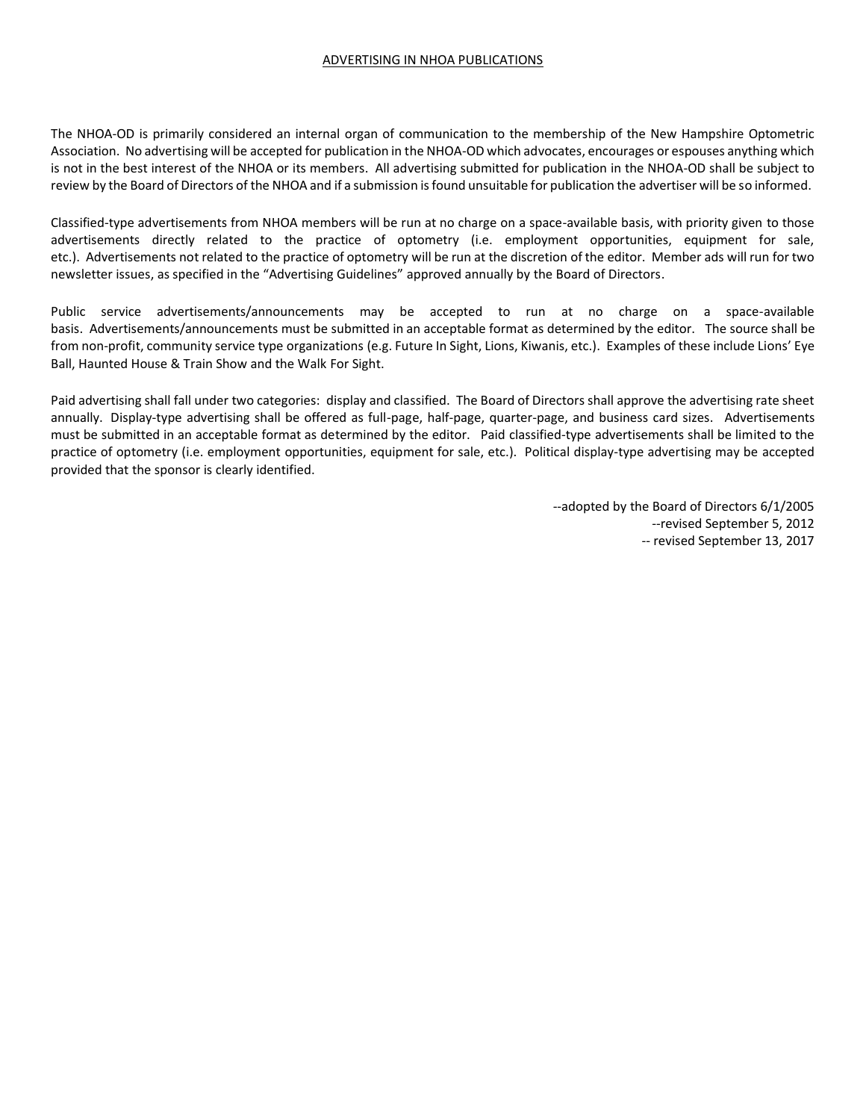### ADVERTISING IN NHOA PUBLICATIONS

The NHOA-OD is primarily considered an internal organ of communication to the membership of the New Hampshire Optometric Association. No advertising will be accepted for publication in the NHOA-OD which advocates, encourages or espouses anything which is not in the best interest of the NHOA or its members. All advertising submitted for publication in the NHOA-OD shall be subject to review by the Board of Directors of the NHOA and if a submission is found unsuitable for publication the advertiser will be so informed.

Classified-type advertisements from NHOA members will be run at no charge on a space-available basis, with priority given to those advertisements directly related to the practice of optometry (i.e. employment opportunities, equipment for sale, etc.). Advertisements not related to the practice of optometry will be run at the discretion of the editor. Member ads will run for two newsletter issues, as specified in the "Advertising Guidelines" approved annually by the Board of Directors.

Public service advertisements/announcements may be accepted to run at no charge on a space-available basis. Advertisements/announcements must be submitted in an acceptable format as determined by the editor. The source shall be from non-profit, community service type organizations (e.g. Future In Sight, Lions, Kiwanis, etc.). Examples of these include Lions' Eye Ball, Haunted House & Train Show and the Walk For Sight.

Paid advertising shall fall under two categories: display and classified. The Board of Directors shall approve the advertising rate sheet annually. Display-type advertising shall be offered as full-page, half-page, quarter-page, and business card sizes. Advertisements must be submitted in an acceptable format as determined by the editor. Paid classified-type advertisements shall be limited to the practice of optometry (i.e. employment opportunities, equipment for sale, etc.). Political display-type advertising may be accepted provided that the sponsor is clearly identified.

> --adopted by the Board of Directors 6/1/2005 --revised September 5, 2012 -- revised September 13, 2017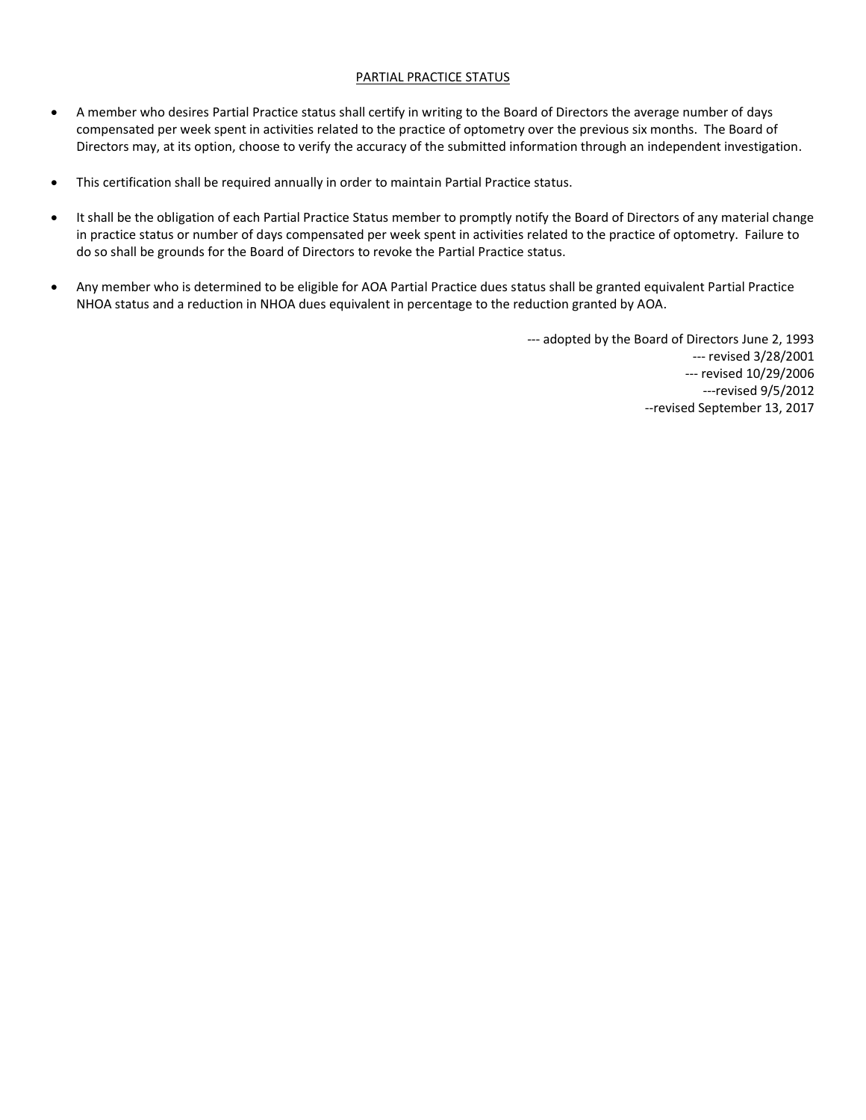### PARTIAL PRACTICE STATUS

- A member who desires Partial Practice status shall certify in writing to the Board of Directors the average number of days compensated per week spent in activities related to the practice of optometry over the previous six months. The Board of Directors may, at its option, choose to verify the accuracy of the submitted information through an independent investigation.
- This certification shall be required annually in order to maintain Partial Practice status.
- It shall be the obligation of each Partial Practice Status member to promptly notify the Board of Directors of any material change in practice status or number of days compensated per week spent in activities related to the practice of optometry. Failure to do so shall be grounds for the Board of Directors to revoke the Partial Practice status.
- Any member who is determined to be eligible for AOA Partial Practice dues status shall be granted equivalent Partial Practice NHOA status and a reduction in NHOA dues equivalent in percentage to the reduction granted by AOA.

--- adopted by the Board of Directors June 2, 1993 --- revised 3/28/2001 --- revised 10/29/2006 ---revised 9/5/2012 --revised September 13, 2017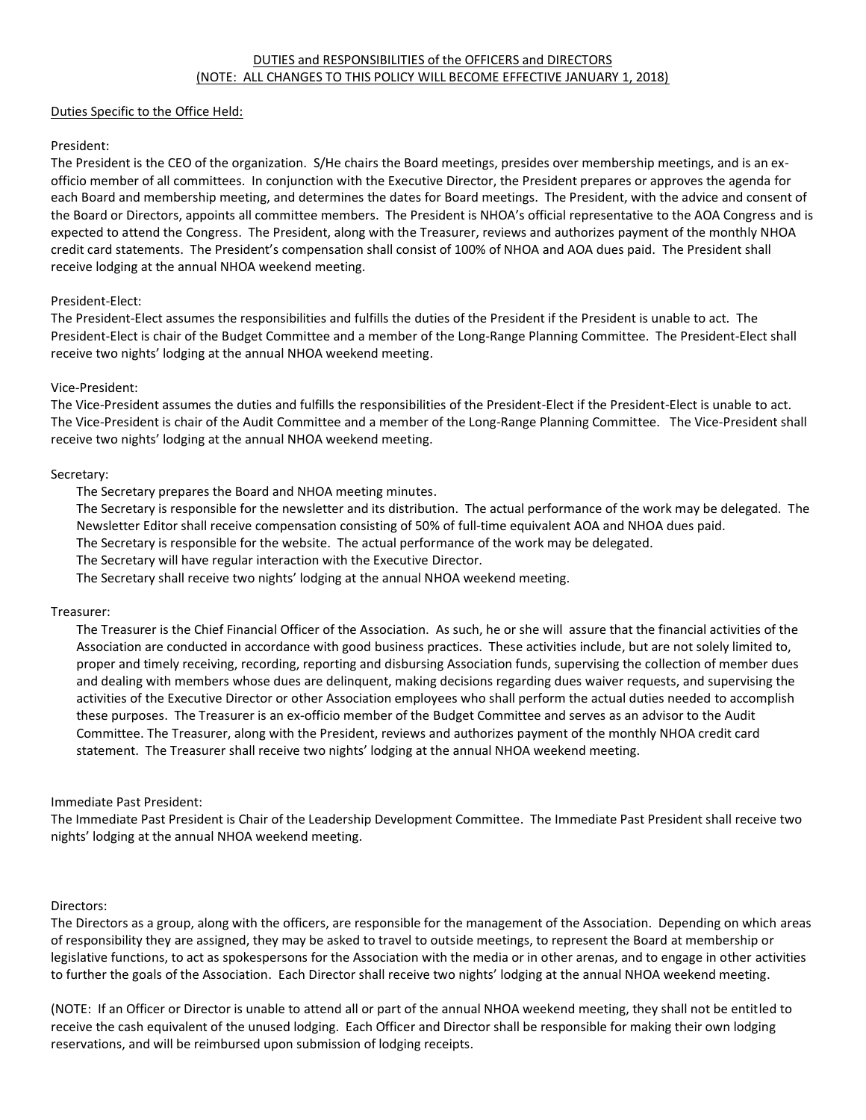### Duties Specific to the Office Held:

### President:

The President is the CEO of the organization. S/He chairs the Board meetings, presides over membership meetings, and is an exofficio member of all committees. In conjunction with the Executive Director, the President prepares or approves the agenda for each Board and membership meeting, and determines the dates for Board meetings. The President, with the advice and consent of the Board or Directors, appoints all committee members. The President is NHOA's official representative to the AOA Congress and is expected to attend the Congress. The President, along with the Treasurer, reviews and authorizes payment of the monthly NHOA credit card statements. The President's compensation shall consist of 100% of NHOA and AOA dues paid. The President shall receive lodging at the annual NHOA weekend meeting.

### President-Elect:

The President-Elect assumes the responsibilities and fulfills the duties of the President if the President is unable to act. The President-Elect is chair of the Budget Committee and a member of the Long-Range Planning Committee. The President-Elect shall receive two nights' lodging at the annual NHOA weekend meeting.

### Vice-President:

The Vice-President assumes the duties and fulfills the responsibilities of the President-Elect if the President-Elect is unable to act. The Vice-President is chair of the Audit Committee and a member of the Long-Range Planning Committee. The Vice-President shall receive two nights' lodging at the annual NHOA weekend meeting.

### Secretary:

The Secretary prepares the Board and NHOA meeting minutes.

The Secretary is responsible for the newsletter and its distribution. The actual performance of the work may be delegated. The Newsletter Editor shall receive compensation consisting of 50% of full-time equivalent AOA and NHOA dues paid.

The Secretary is responsible for the website. The actual performance of the work may be delegated.

The Secretary will have regular interaction with the Executive Director.

The Secretary shall receive two nights' lodging at the annual NHOA weekend meeting.

#### Treasurer:

The Treasurer is the Chief Financial Officer of the Association. As such, he or she will assure that the financial activities of the Association are conducted in accordance with good business practices. These activities include, but are not solely limited to, proper and timely receiving, recording, reporting and disbursing Association funds, supervising the collection of member dues and dealing with members whose dues are delinquent, making decisions regarding dues waiver requests, and supervising the activities of the Executive Director or other Association employees who shall perform the actual duties needed to accomplish these purposes. The Treasurer is an ex-officio member of the Budget Committee and serves as an advisor to the Audit Committee. The Treasurer, along with the President, reviews and authorizes payment of the monthly NHOA credit card statement. The Treasurer shall receive two nights' lodging at the annual NHOA weekend meeting.

### Immediate Past President:

The Immediate Past President is Chair of the Leadership Development Committee. The Immediate Past President shall receive two nights' lodging at the annual NHOA weekend meeting.

#### Directors:

The Directors as a group, along with the officers, are responsible for the management of the Association. Depending on which areas of responsibility they are assigned, they may be asked to travel to outside meetings, to represent the Board at membership or legislative functions, to act as spokespersons for the Association with the media or in other arenas, and to engage in other activities to further the goals of the Association. Each Director shall receive two nights' lodging at the annual NHOA weekend meeting.

(NOTE: If an Officer or Director is unable to attend all or part of the annual NHOA weekend meeting, they shall not be entitled to receive the cash equivalent of the unused lodging. Each Officer and Director shall be responsible for making their own lodging reservations, and will be reimbursed upon submission of lodging receipts.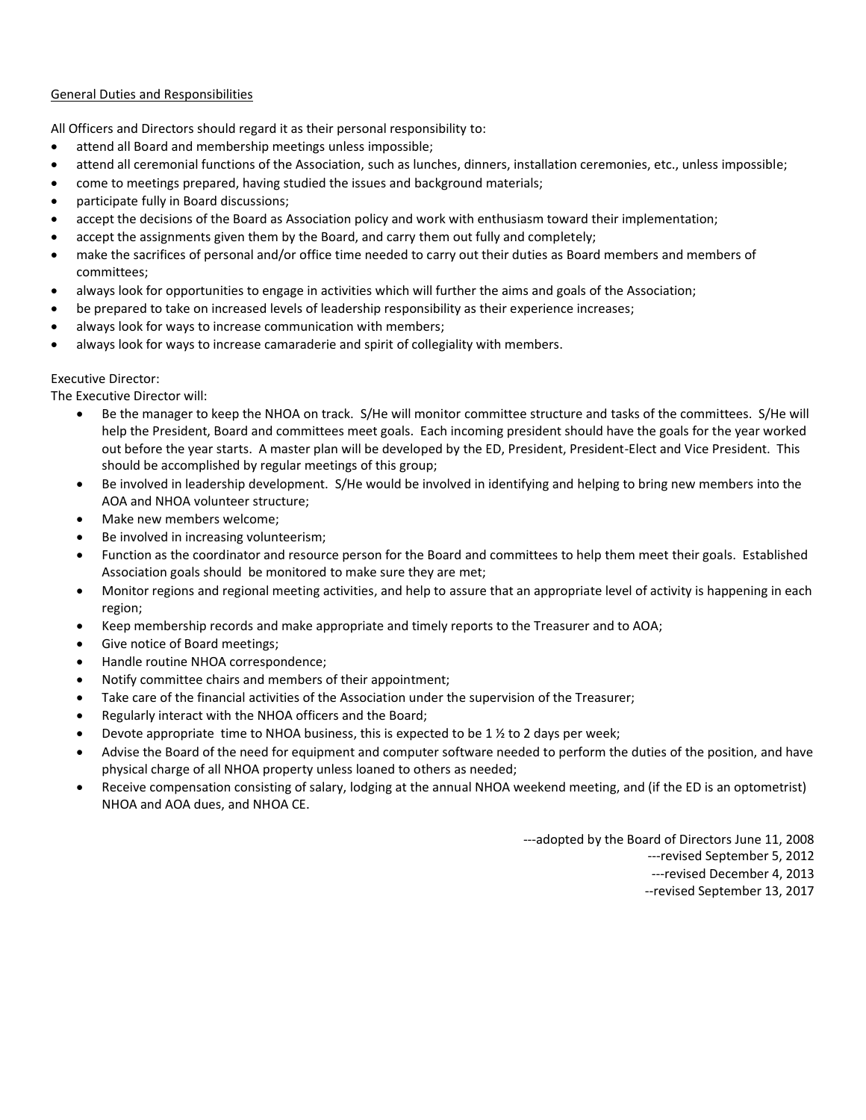### General Duties and Responsibilities

All Officers and Directors should regard it as their personal responsibility to:

- attend all Board and membership meetings unless impossible;
- attend all ceremonial functions of the Association, such as lunches, dinners, installation ceremonies, etc., unless impossible;
- come to meetings prepared, having studied the issues and background materials;
- participate fully in Board discussions;
- accept the decisions of the Board as Association policy and work with enthusiasm toward their implementation;
- accept the assignments given them by the Board, and carry them out fully and completely;
- make the sacrifices of personal and/or office time needed to carry out their duties as Board members and members of committees;
- always look for opportunities to engage in activities which will further the aims and goals of the Association;
- be prepared to take on increased levels of leadership responsibility as their experience increases;
- always look for ways to increase communication with members;
- always look for ways to increase camaraderie and spirit of collegiality with members.

### Executive Director:

The Executive Director will:

- Be the manager to keep the NHOA on track. S/He will monitor committee structure and tasks of the committees. S/He will help the President, Board and committees meet goals. Each incoming president should have the goals for the year worked out before the year starts. A master plan will be developed by the ED, President, President-Elect and Vice President. This should be accomplished by regular meetings of this group;
- Be involved in leadership development. S/He would be involved in identifying and helping to bring new members into the AOA and NHOA volunteer structure;
- Make new members welcome:
- Be involved in increasing volunteerism;
- Function as the coordinator and resource person for the Board and committees to help them meet their goals. Established Association goals should be monitored to make sure they are met;
- Monitor regions and regional meeting activities, and help to assure that an appropriate level of activity is happening in each region;
- Keep membership records and make appropriate and timely reports to the Treasurer and to AOA;
- Give notice of Board meetings;
- Handle routine NHOA correspondence;
- Notify committee chairs and members of their appointment;
- Take care of the financial activities of the Association under the supervision of the Treasurer;
- Regularly interact with the NHOA officers and the Board;
- Devote appropriate time to NHOA business, this is expected to be 1  $\frac{1}{2}$  to 2 days per week;
- Advise the Board of the need for equipment and computer software needed to perform the duties of the position, and have physical charge of all NHOA property unless loaned to others as needed;
- Receive compensation consisting of salary, lodging at the annual NHOA weekend meeting, and (if the ED is an optometrist) NHOA and AOA dues, and NHOA CE.

---adopted by the Board of Directors June 11, 2008

- ---revised September 5, 2012
- ---revised December 4, 2013
- --revised September 13, 2017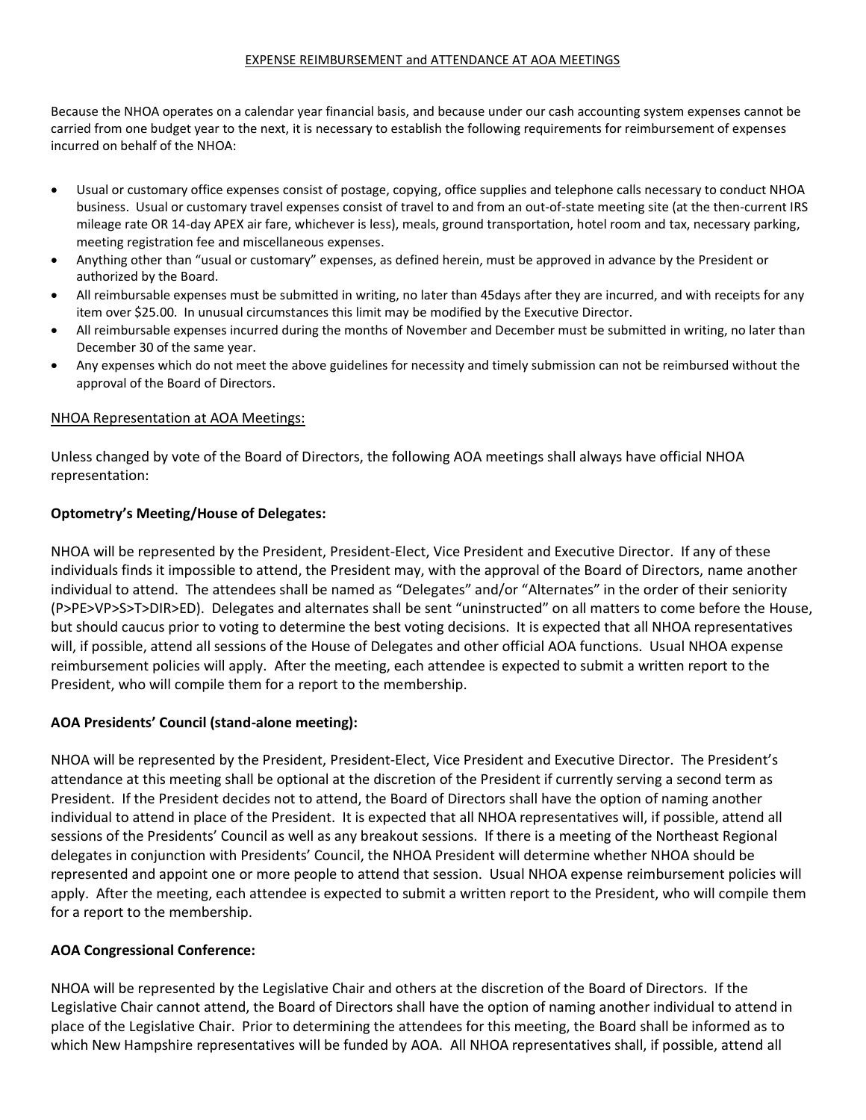### EXPENSE REIMBURSEMENT and ATTENDANCE AT AOA MEETINGS

Because the NHOA operates on a calendar year financial basis, and because under our cash accounting system expenses cannot be carried from one budget year to the next, it is necessary to establish the following requirements for reimbursement of expenses incurred on behalf of the NHOA:

- Usual or customary office expenses consist of postage, copying, office supplies and telephone calls necessary to conduct NHOA business. Usual or customary travel expenses consist of travel to and from an out-of-state meeting site (at the then-current IRS mileage rate OR 14-day APEX air fare, whichever is less), meals, ground transportation, hotel room and tax, necessary parking, meeting registration fee and miscellaneous expenses.
- Anything other than "usual or customary" expenses, as defined herein, must be approved in advance by the President or authorized by the Board.
- All reimbursable expenses must be submitted in writing, no later than 45days after they are incurred, and with receipts for any item over \$25.00. In unusual circumstances this limit may be modified by the Executive Director.
- All reimbursable expenses incurred during the months of November and December must be submitted in writing, no later than December 30 of the same year.
- Any expenses which do not meet the above guidelines for necessity and timely submission can not be reimbursed without the approval of the Board of Directors.

### NHOA Representation at AOA Meetings:

Unless changed by vote of the Board of Directors, the following AOA meetings shall always have official NHOA representation:

## **Optometry's Meeting/House of Delegates:**

NHOA will be represented by the President, President-Elect, Vice President and Executive Director. If any of these individuals finds it impossible to attend, the President may, with the approval of the Board of Directors, name another individual to attend. The attendees shall be named as "Delegates" and/or "Alternates" in the order of their seniority (P>PE>VP>S>T>DIR>ED). Delegates and alternates shall be sent "uninstructed" on all matters to come before the House, but should caucus prior to voting to determine the best voting decisions. It is expected that all NHOA representatives will, if possible, attend all sessions of the House of Delegates and other official AOA functions. Usual NHOA expense reimbursement policies will apply. After the meeting, each attendee is expected to submit a written report to the President, who will compile them for a report to the membership.

## **AOA Presidents' Council (stand-alone meeting):**

NHOA will be represented by the President, President-Elect, Vice President and Executive Director. The President's attendance at this meeting shall be optional at the discretion of the President if currently serving a second term as President. If the President decides not to attend, the Board of Directors shall have the option of naming another individual to attend in place of the President. It is expected that all NHOA representatives will, if possible, attend all sessions of the Presidents' Council as well as any breakout sessions. If there is a meeting of the Northeast Regional delegates in conjunction with Presidents' Council, the NHOA President will determine whether NHOA should be represented and appoint one or more people to attend that session. Usual NHOA expense reimbursement policies will apply. After the meeting, each attendee is expected to submit a written report to the President, who will compile them for a report to the membership.

## **AOA Congressional Conference:**

NHOA will be represented by the Legislative Chair and others at the discretion of the Board of Directors. If the Legislative Chair cannot attend, the Board of Directors shall have the option of naming another individual to attend in place of the Legislative Chair. Prior to determining the attendees for this meeting, the Board shall be informed as to which New Hampshire representatives will be funded by AOA. All NHOA representatives shall, if possible, attend all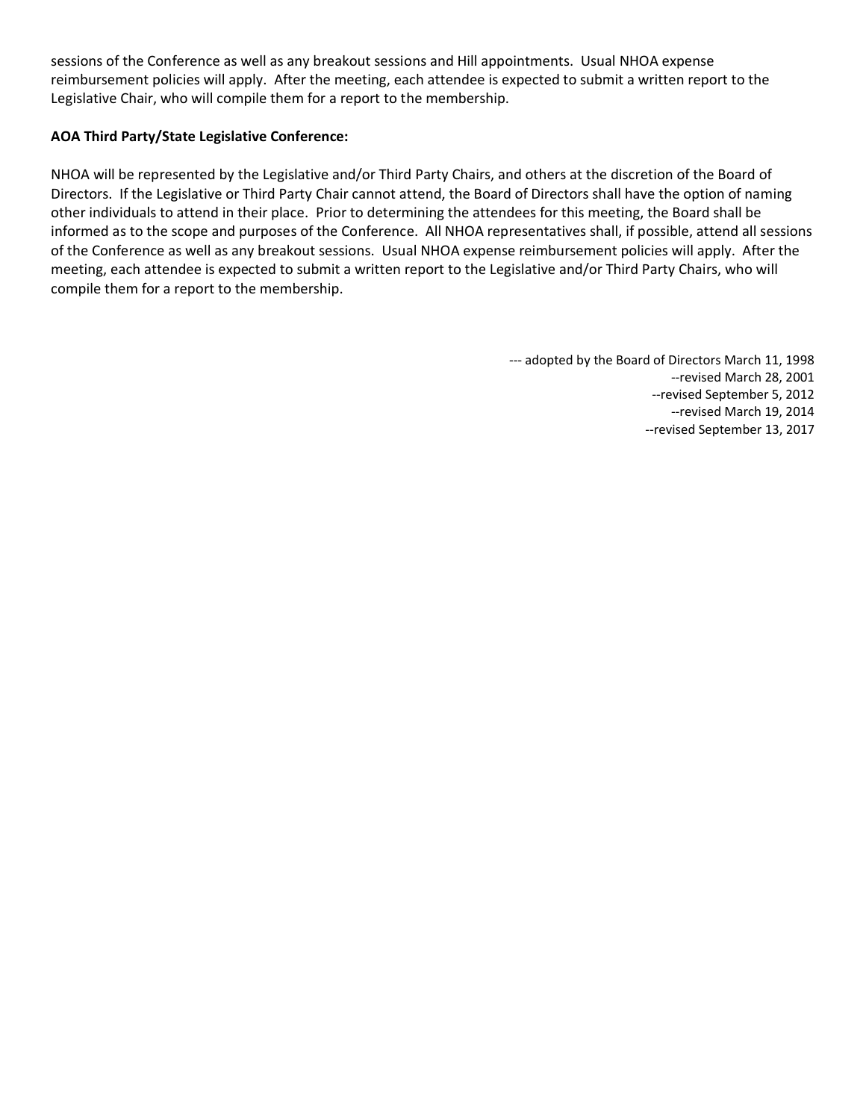sessions of the Conference as well as any breakout sessions and Hill appointments. Usual NHOA expense reimbursement policies will apply. After the meeting, each attendee is expected to submit a written report to the Legislative Chair, who will compile them for a report to the membership.

## **AOA Third Party/State Legislative Conference:**

NHOA will be represented by the Legislative and/or Third Party Chairs, and others at the discretion of the Board of Directors. If the Legislative or Third Party Chair cannot attend, the Board of Directors shall have the option of naming other individuals to attend in their place. Prior to determining the attendees for this meeting, the Board shall be informed as to the scope and purposes of the Conference. All NHOA representatives shall, if possible, attend all sessions of the Conference as well as any breakout sessions. Usual NHOA expense reimbursement policies will apply. After the meeting, each attendee is expected to submit a written report to the Legislative and/or Third Party Chairs, who will compile them for a report to the membership.

--- adopted by the Board of Directors March 11, 1998

--revised March 28, 2001

--revised September 5, 2012

--revised March 19, 2014 --revised September 13, 2017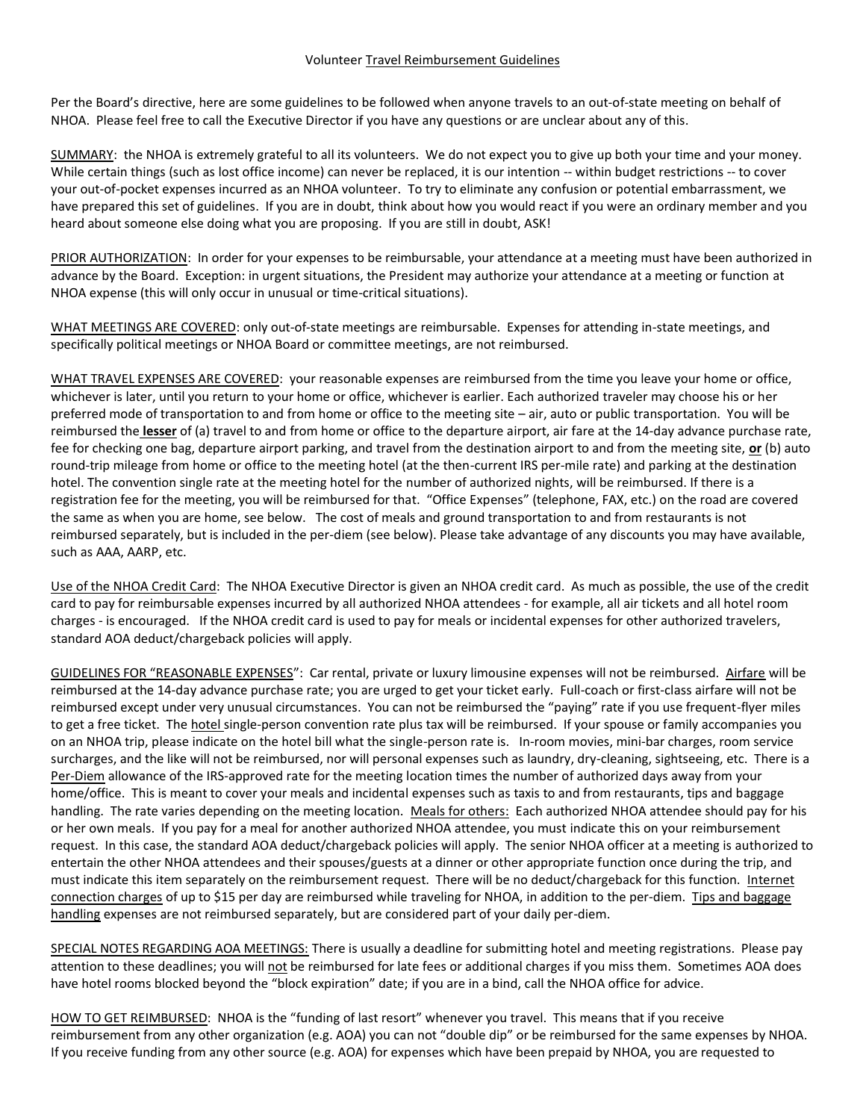#### Volunteer Travel Reimbursement Guidelines

Per the Board's directive, here are some guidelines to be followed when anyone travels to an out-of-state meeting on behalf of NHOA. Please feel free to call the Executive Director if you have any questions or are unclear about any of this.

SUMMARY: the NHOA is extremely grateful to all its volunteers. We do not expect you to give up both your time and your money. While certain things (such as lost office income) can never be replaced, it is our intention -- within budget restrictions -- to cover your out-of-pocket expenses incurred as an NHOA volunteer. To try to eliminate any confusion or potential embarrassment, we have prepared this set of guidelines. If you are in doubt, think about how you would react if you were an ordinary member and you heard about someone else doing what you are proposing. If you are still in doubt, ASK!

PRIOR AUTHORIZATION: In order for your expenses to be reimbursable, your attendance at a meeting must have been authorized in advance by the Board. Exception: in urgent situations, the President may authorize your attendance at a meeting or function at NHOA expense (this will only occur in unusual or time-critical situations).

WHAT MEETINGS ARE COVERED: only out-of-state meetings are reimbursable. Expenses for attending in-state meetings, and specifically political meetings or NHOA Board or committee meetings, are not reimbursed.

WHAT TRAVEL EXPENSES ARE COVERED: your reasonable expenses are reimbursed from the time you leave your home or office, whichever is later, until you return to your home or office, whichever is earlier. Each authorized traveler may choose his or her preferred mode of transportation to and from home or office to the meeting site – air, auto or public transportation. You will be reimbursed the **lesser** of (a) travel to and from home or office to the departure airport, air fare at the 14-day advance purchase rate, fee for checking one bag, departure airport parking, and travel from the destination airport to and from the meeting site, **or** (b) auto round-trip mileage from home or office to the meeting hotel (at the then-current IRS per-mile rate) and parking at the destination hotel. The convention single rate at the meeting hotel for the number of authorized nights, will be reimbursed. If there is a registration fee for the meeting, you will be reimbursed for that. "Office Expenses" (telephone, FAX, etc.) on the road are covered the same as when you are home, see below. The cost of meals and ground transportation to and from restaurants is not reimbursed separately, but is included in the per-diem (see below). Please take advantage of any discounts you may have available, such as AAA, AARP, etc.

Use of the NHOA Credit Card: The NHOA Executive Director is given an NHOA credit card. As much as possible, the use of the credit card to pay for reimbursable expenses incurred by all authorized NHOA attendees - for example, all air tickets and all hotel room charges - is encouraged. If the NHOA credit card is used to pay for meals or incidental expenses for other authorized travelers, standard AOA deduct/chargeback policies will apply.

GUIDELINES FOR "REASONABLE EXPENSES": Car rental, private or luxury limousine expenses will not be reimbursed. Airfare will be reimbursed at the 14-day advance purchase rate; you are urged to get your ticket early. Full-coach or first-class airfare will not be reimbursed except under very unusual circumstances. You can not be reimbursed the "paying" rate if you use frequent-flyer miles to get a free ticket. The hotel single-person convention rate plus tax will be reimbursed. If your spouse or family accompanies you on an NHOA trip, please indicate on the hotel bill what the single-person rate is. In-room movies, mini-bar charges, room service surcharges, and the like will not be reimbursed, nor will personal expenses such as laundry, dry-cleaning, sightseeing, etc. There is a Per-Diem allowance of the IRS-approved rate for the meeting location times the number of authorized days away from your home/office. This is meant to cover your meals and incidental expenses such as taxis to and from restaurants, tips and baggage handling. The rate varies depending on the meeting location. Meals for others: Each authorized NHOA attendee should pay for his or her own meals. If you pay for a meal for another authorized NHOA attendee, you must indicate this on your reimbursement request. In this case, the standard AOA deduct/chargeback policies will apply. The senior NHOA officer at a meeting is authorized to entertain the other NHOA attendees and their spouses/guests at a dinner or other appropriate function once during the trip, and must indicate this item separately on the reimbursement request. There will be no deduct/chargeback for this function. Internet connection charges of up to \$15 per day are reimbursed while traveling for NHOA, in addition to the per-diem. Tips and baggage handling expenses are not reimbursed separately, but are considered part of your daily per-diem.

SPECIAL NOTES REGARDING AOA MEETINGS: There is usually a deadline for submitting hotel and meeting registrations. Please pay attention to these deadlines; you will not be reimbursed for late fees or additional charges if you miss them. Sometimes AOA does have hotel rooms blocked beyond the "block expiration" date; if you are in a bind, call the NHOA office for advice.

HOW TO GET REIMBURSED: NHOA is the "funding of last resort" whenever you travel. This means that if you receive reimbursement from any other organization (e.g. AOA) you can not "double dip" or be reimbursed for the same expenses by NHOA. If you receive funding from any other source (e.g. AOA) for expenses which have been prepaid by NHOA, you are requested to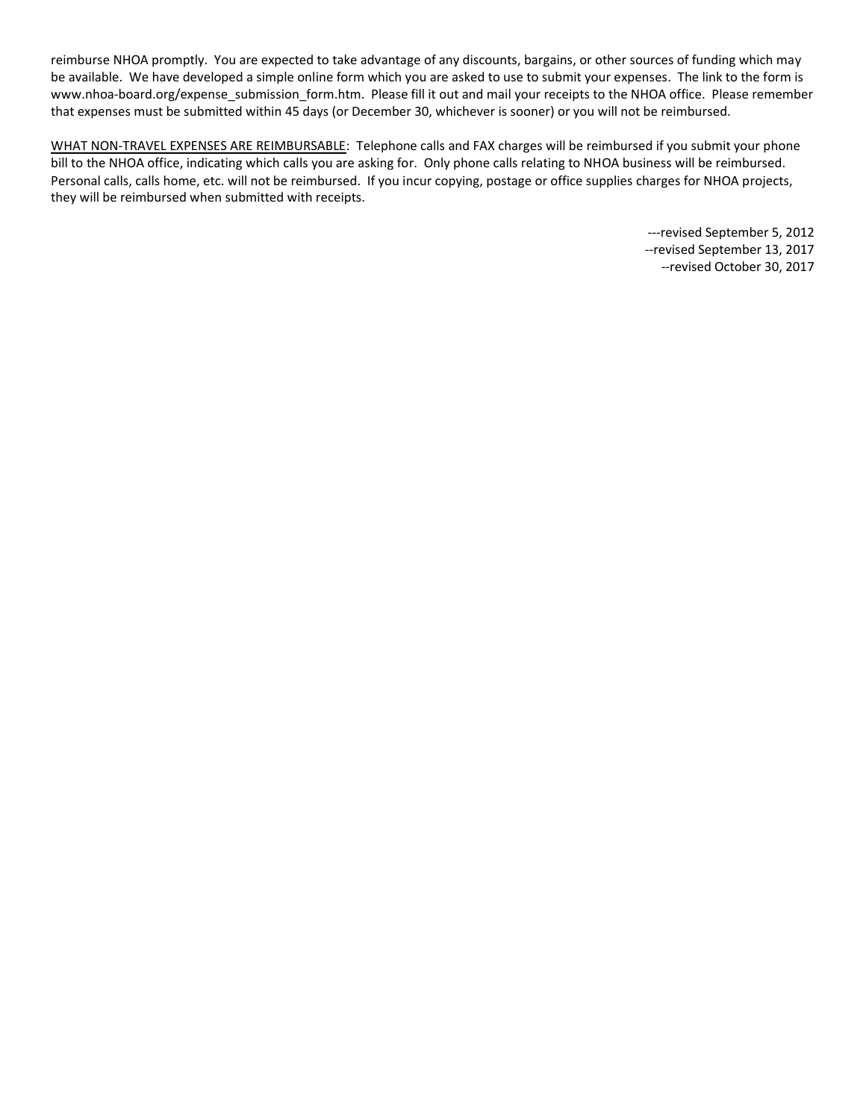reimburse NHOA promptly. You are expected to take advantage of any discounts, bargains, or other sources of funding which may be available. We have developed a simple online form which you are asked to use to submit your expenses. The link to the form is www.nhoa-board.org/expense\_submission\_form.htm. Please fill it out and mail your receipts to the NHOA office. Please remember that expenses must be submitted within 45 days (or December 30, whichever is sooner) or you will not be reimbursed.

WHAT NON-TRAVEL EXPENSES ARE REIMBURSABLE: Telephone calls and FAX charges will be reimbursed if you submit your phone bill to the NHOA office, indicating which calls you are asking for. Only phone calls relating to NHOA business will be reimbursed. Personal calls, calls home, etc. will not be reimbursed. If you incur copying, postage or office supplies charges for NHOA projects, they will be reimbursed when submitted with receipts.

> ---revised September 5, 2012 --revised September 13, 2017 --revised October 30, 2017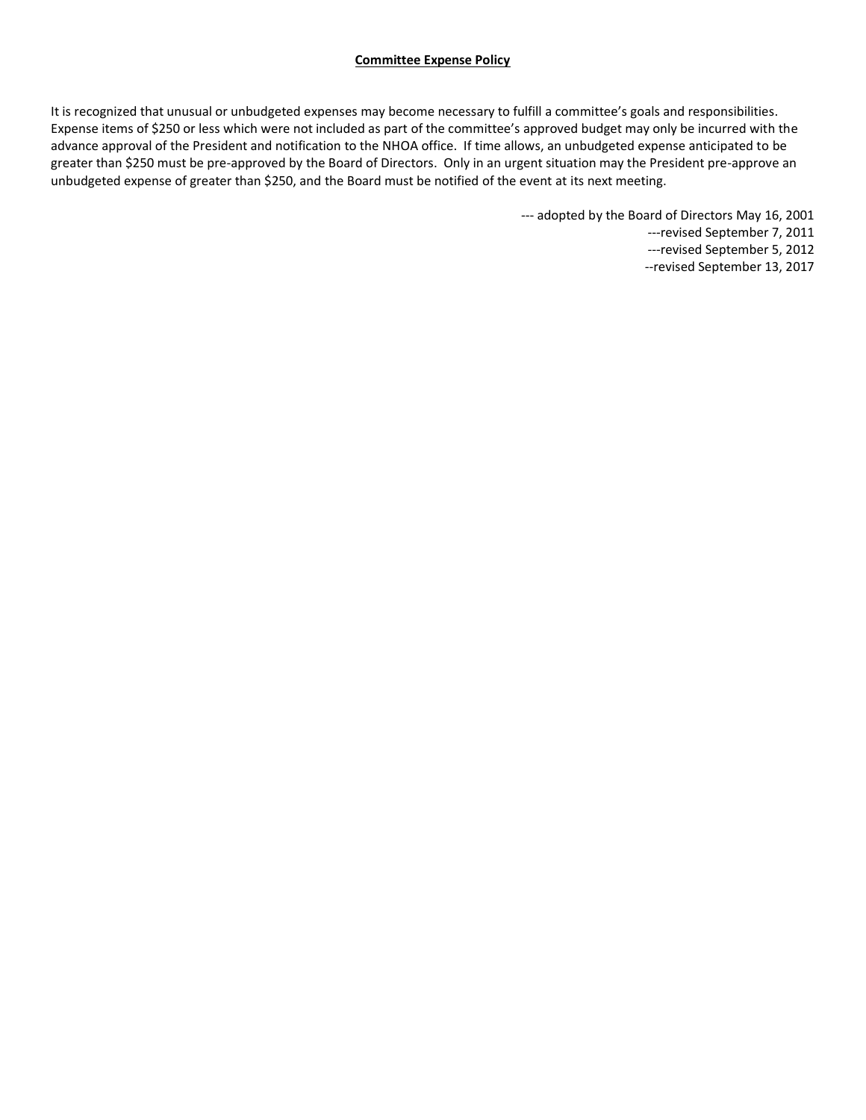### **Committee Expense Policy**

It is recognized that unusual or unbudgeted expenses may become necessary to fulfill a committee's goals and responsibilities. Expense items of \$250 or less which were not included as part of the committee's approved budget may only be incurred with the advance approval of the President and notification to the NHOA office. If time allows, an unbudgeted expense anticipated to be greater than \$250 must be pre-approved by the Board of Directors. Only in an urgent situation may the President pre-approve an unbudgeted expense of greater than \$250, and the Board must be notified of the event at its next meeting.

--- adopted by the Board of Directors May 16, 2001

---revised September 7, 2011

---revised September 5, 2012

--revised September 13, 2017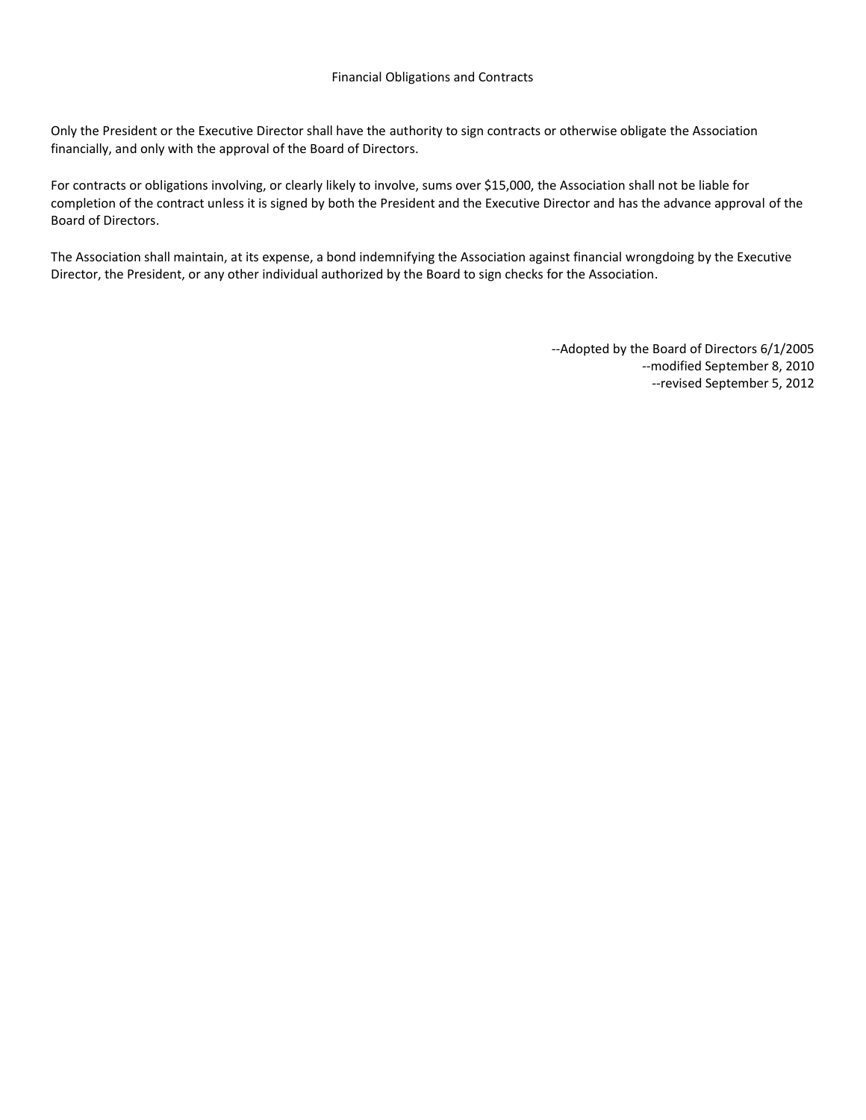Only the President or the Executive Director shall have the authority to sign contracts or otherwise obligate the Association financially, and only with the approval of the Board of Directors.

For contracts or obligations involving, or clearly likely to involve, sums over \$15,000, the Association shall not be liable for completion of the contract unless it is signed by both the President and the Executive Director and has the advance approval of the Board of Directors.

The Association shall maintain, at its expense, a bond indemnifying the Association against financial wrongdoing by the Executive Director, the President, or any other individual authorized by the Board to sign checks for the Association.

> --Adopted by the Board of Directors 6/1/2005 --modified September 8, 2010 --revised September 5, 2012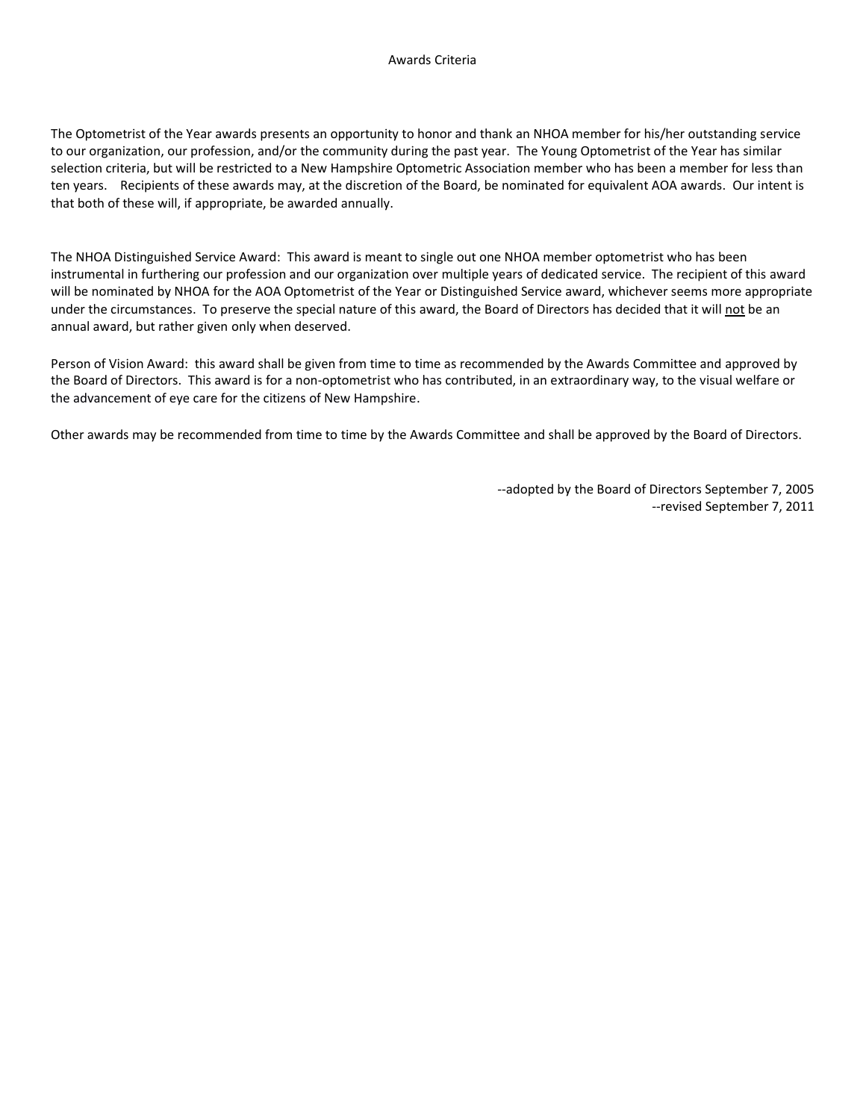The Optometrist of the Year awards presents an opportunity to honor and thank an NHOA member for his/her outstanding service to our organization, our profession, and/or the community during the past year. The Young Optometrist of the Year has similar selection criteria, but will be restricted to a New Hampshire Optometric Association member who has been a member for less than ten years. Recipients of these awards may, at the discretion of the Board, be nominated for equivalent AOA awards. Our intent is that both of these will, if appropriate, be awarded annually.

The NHOA Distinguished Service Award: This award is meant to single out one NHOA member optometrist who has been instrumental in furthering our profession and our organization over multiple years of dedicated service. The recipient of this award will be nominated by NHOA for the AOA Optometrist of the Year or Distinguished Service award, whichever seems more appropriate under the circumstances. To preserve the special nature of this award, the Board of Directors has decided that it will not be an annual award, but rather given only when deserved.

Person of Vision Award: this award shall be given from time to time as recommended by the Awards Committee and approved by the Board of Directors. This award is for a non-optometrist who has contributed, in an extraordinary way, to the visual welfare or the advancement of eye care for the citizens of New Hampshire.

Other awards may be recommended from time to time by the Awards Committee and shall be approved by the Board of Directors.

--adopted by the Board of Directors September 7, 2005 --revised September 7, 2011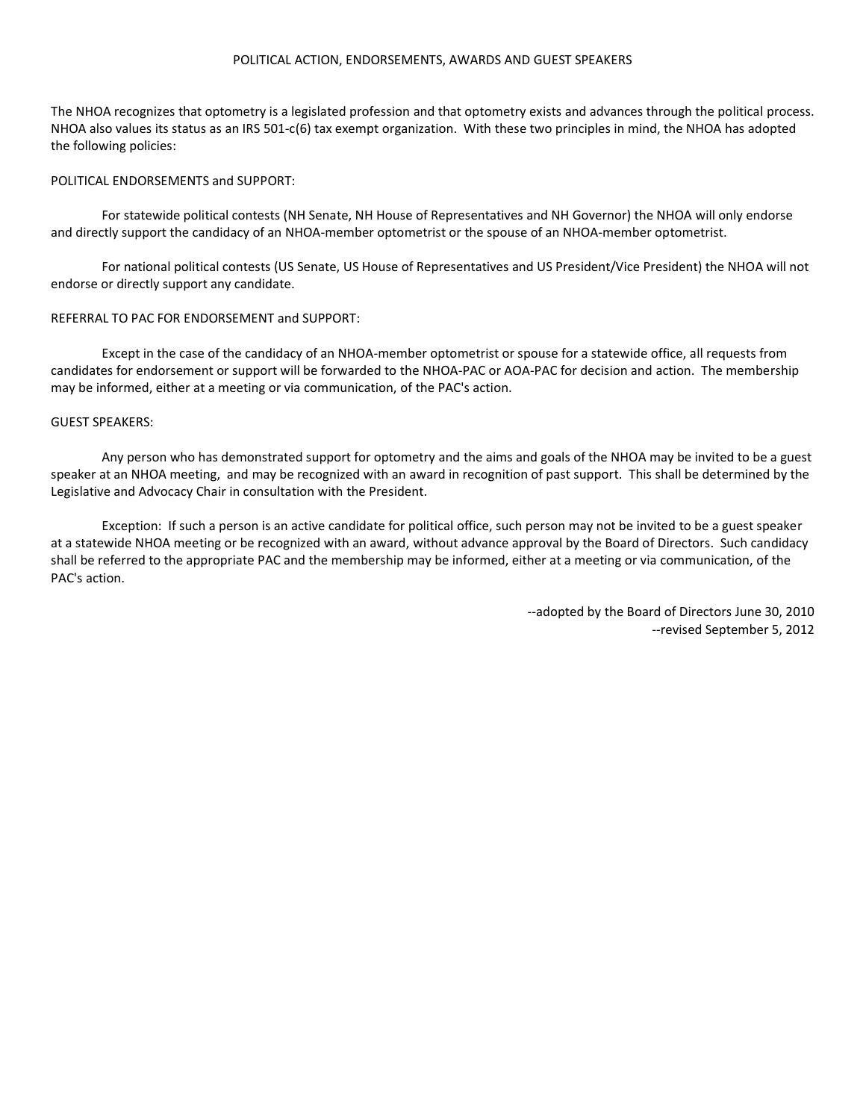#### POLITICAL ACTION, ENDORSEMENTS, AWARDS AND GUEST SPEAKERS

The NHOA recognizes that optometry is a legislated profession and that optometry exists and advances through the political process. NHOA also values its status as an IRS 501-c(6) tax exempt organization. With these two principles in mind, the NHOA has adopted the following policies:

#### POLITICAL ENDORSEMENTS and SUPPORT:

For statewide political contests (NH Senate, NH House of Representatives and NH Governor) the NHOA will only endorse and directly support the candidacy of an NHOA-member optometrist or the spouse of an NHOA-member optometrist.

For national political contests (US Senate, US House of Representatives and US President/Vice President) the NHOA will not endorse or directly support any candidate.

#### REFERRAL TO PAC FOR ENDORSEMENT and SUPPORT:

Except in the case of the candidacy of an NHOA-member optometrist or spouse for a statewide office, all requests from candidates for endorsement or support will be forwarded to the NHOA-PAC or AOA-PAC for decision and action. The membership may be informed, either at a meeting or via communication, of the PAC's action.

#### GUEST SPEAKERS:

Any person who has demonstrated support for optometry and the aims and goals of the NHOA may be invited to be a guest speaker at an NHOA meeting, and may be recognized with an award in recognition of past support. This shall be determined by the Legislative and Advocacy Chair in consultation with the President.

Exception: If such a person is an active candidate for political office, such person may not be invited to be a guest speaker at a statewide NHOA meeting or be recognized with an award, without advance approval by the Board of Directors. Such candidacy shall be referred to the appropriate PAC and the membership may be informed, either at a meeting or via communication, of the PAC's action.

> --adopted by the Board of Directors June 30, 2010 --revised September 5, 2012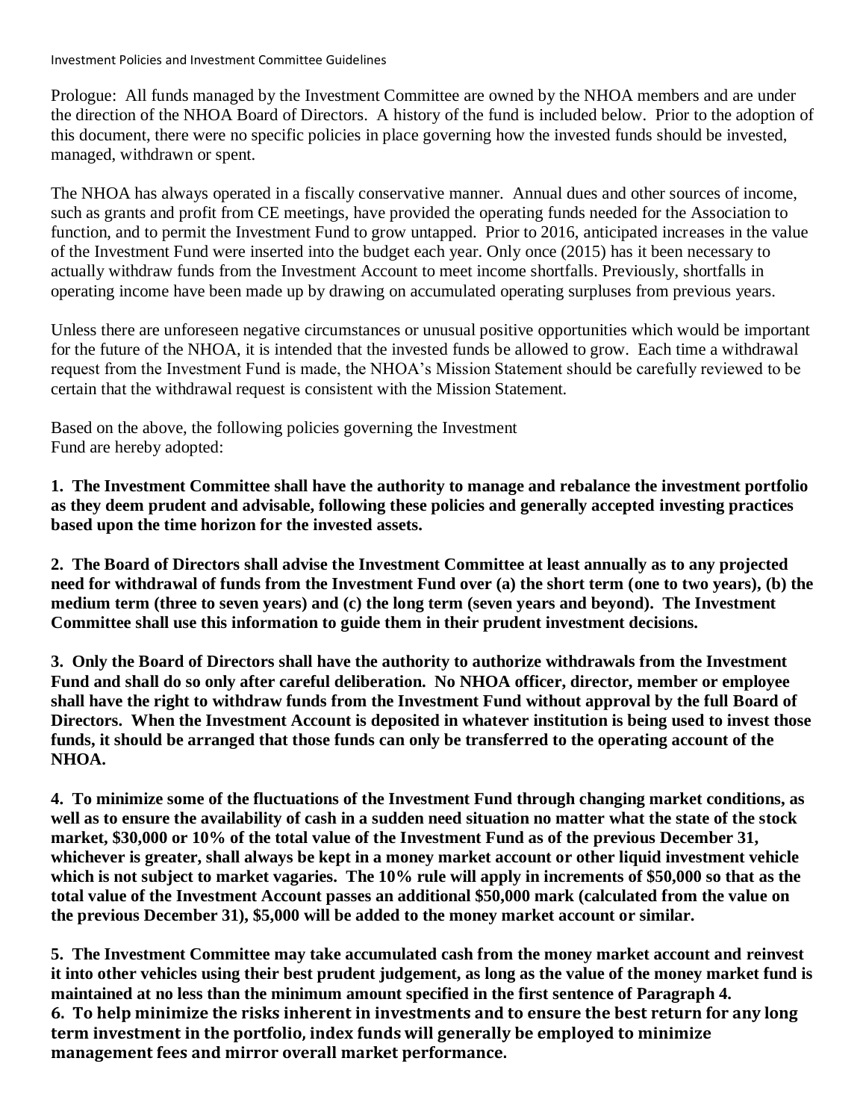Investment Policies and Investment Committee Guidelines

Prologue: All funds managed by the Investment Committee are owned by the NHOA members and are under the direction of the NHOA Board of Directors. A history of the fund is included below. Prior to the adoption of this document, there were no specific policies in place governing how the invested funds should be invested, managed, withdrawn or spent.

The NHOA has always operated in a fiscally conservative manner. Annual dues and other sources of income, such as grants and profit from CE meetings, have provided the operating funds needed for the Association to function, and to permit the Investment Fund to grow untapped. Prior to 2016, anticipated increases in the value of the Investment Fund were inserted into the budget each year. Only once (2015) has it been necessary to actually withdraw funds from the Investment Account to meet income shortfalls. Previously, shortfalls in operating income have been made up by drawing on accumulated operating surpluses from previous years.

Unless there are unforeseen negative circumstances or unusual positive opportunities which would be important for the future of the NHOA, it is intended that the invested funds be allowed to grow. Each time a withdrawal request from the Investment Fund is made, the NHOA's Mission Statement should be carefully reviewed to be certain that the withdrawal request is consistent with the Mission Statement.

Based on the above, the following policies governing the Investment Fund are hereby adopted:

**1. The Investment Committee shall have the authority to manage and rebalance the investment portfolio as they deem prudent and advisable, following these policies and generally accepted investing practices based upon the time horizon for the invested assets.**

**2. The Board of Directors shall advise the Investment Committee at least annually as to any projected need for withdrawal of funds from the Investment Fund over (a) the short term (one to two years), (b) the medium term (three to seven years) and (c) the long term (seven years and beyond). The Investment Committee shall use this information to guide them in their prudent investment decisions.**

**3. Only the Board of Directors shall have the authority to authorize withdrawals from the Investment Fund and shall do so only after careful deliberation. No NHOA officer, director, member or employee shall have the right to withdraw funds from the Investment Fund without approval by the full Board of Directors. When the Investment Account is deposited in whatever institution is being used to invest those funds, it should be arranged that those funds can only be transferred to the operating account of the NHOA.**

**4. To minimize some of the fluctuations of the Investment Fund through changing market conditions, as well as to ensure the availability of cash in a sudden need situation no matter what the state of the stock market, \$30,000 or 10% of the total value of the Investment Fund as of the previous December 31, whichever is greater, shall always be kept in a money market account or other liquid investment vehicle which is not subject to market vagaries. The 10% rule will apply in increments of \$50,000 so that as the total value of the Investment Account passes an additional \$50,000 mark (calculated from the value on the previous December 31), \$5,000 will be added to the money market account or similar.**

**5. The Investment Committee may take accumulated cash from the money market account and reinvest it into other vehicles using their best prudent judgement, as long as the value of the money market fund is maintained at no less than the minimum amount specified in the first sentence of Paragraph 4. 6. To help minimize the risks inherent in investments and to ensure the best return for any long term investment in the portfolio, index funds will generally be employed to minimize management fees and mirror overall market performance.**